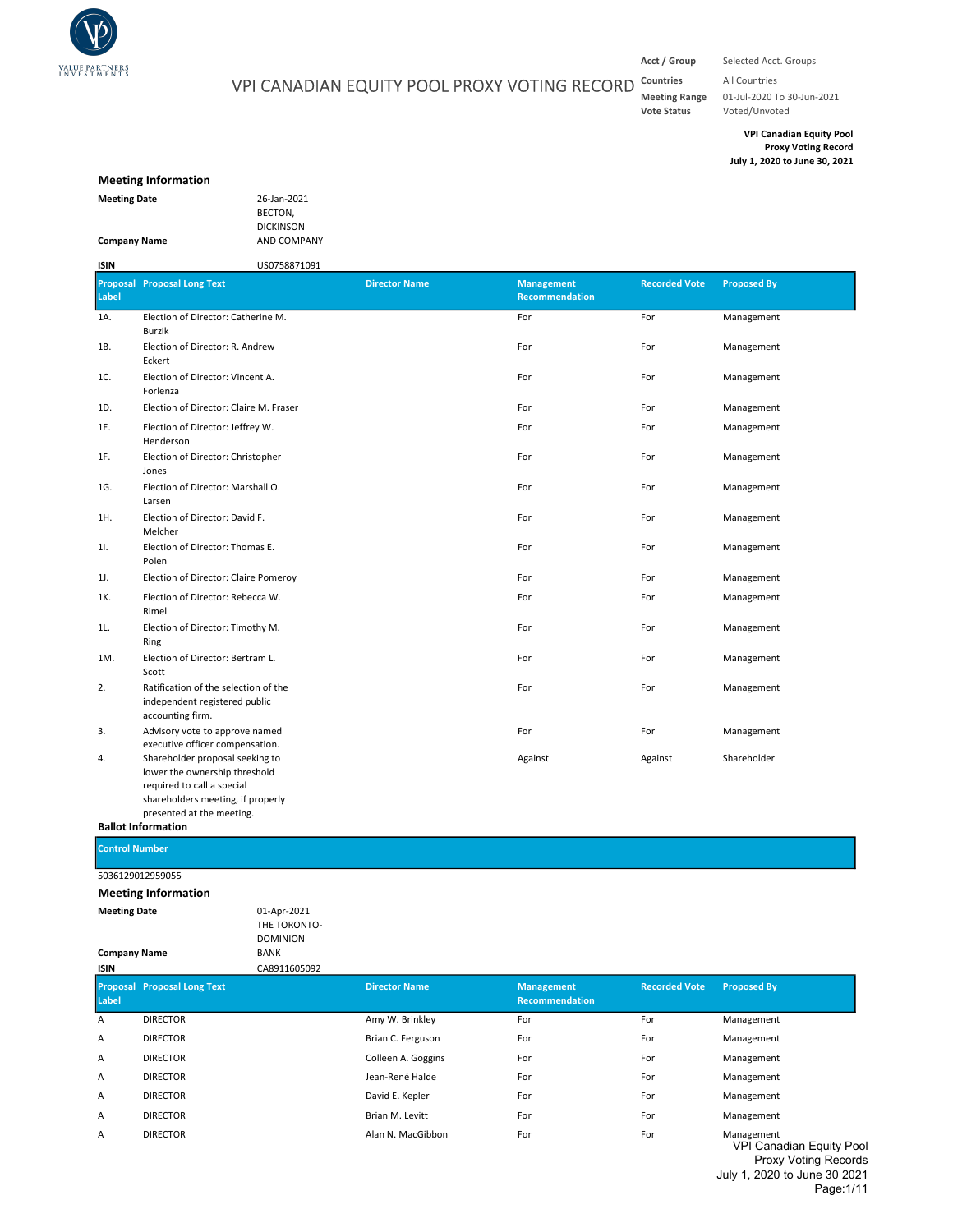

# VPI CANADIAN EQUITY POOL PROXY VOTING RECORD

Acct / Group Selected Acct. Groups

Countries All Countries Meeting Range 01-Jul-2020 To 30-Jun-2021<br>Vote Status Voted/Unvoted Voted/Unvoted

> VPI Canadian Equity Pool Proxy Voting Record July 1, 2020 to June 30, 2021

#### Meeting Information

| <b>Meeting Date</b> | 26-Jan-2021      |
|---------------------|------------------|
|                     | BECTON.          |
|                     | <b>DICKINSON</b> |
| <b>Company Name</b> | <b>AND COMPA</b> |

DICKINSON  $1P\Delta NV$ 

#### Proposal Proposal Long Text Label Director Name Management Recommendation Recorded Vote Proposed By 1A. Election of Director: Catherine M. Notice that the extent of the extent of the Formula of Director: Catherine M. 1B. For For Management Election of Director: R. Andrew 1C. For For Management Election of Director: Vincent A. 1D. Election of Director: Claire M. Fraser **For Election of Director: Claire M. Fraser** For **For For Election** of Director: Claire M. Fraser **For For For For Election** of Director: Claire M. Fraser **For For** 1E. For For Management Election of Director: Jeffrey W. 1F. For For Management Election of Director: Christopher 1G. For For Management Election of Director: Marshall O. 1H. Election of Director: David F. The State of Contractor of Director: David For For The Management 1I. Some Election of Director: Thomas E. The Some Control of Director: Thomas E. The Some Control of Director: Thomas E. The Some Control of Director: Thomas E. The Some Control of Director: Thomas E. The Some Control of D 1J. Election of Director: Claire Pomeroy **For** For For For For **For** Management 1K. Election of Director: Rebecca W. The Communication of Director: Rebecca W. Communication of Director: Rebecca W. 1L. Election of Director: Timothy M. Notice that the extent of the extent of the extent of Director: Timothy M. 1M. Election of Director: Bertram L. The Communication of Director: Bertram L. The Communication of Director: Bertram L. The Communication of Director: Bertram L. The Communication of Director: Bertram L. The Communication 2. For For Management Ratification of the selection of the 3. For For Management Advisory vote to approve named 4. Against Against Shareholder Shareholder proposal seeking to ISIN US0758871091 Burzik Eckert Forlenza Henderson Jones Larsen Melcher Polen Rimel Ring Scott independent registered public accounting firm. executive officer compensation. lower the ownership threshold required to call a special shareholders meeting, if properly presented at the meeting. Ballot Information

Control Number

5036129012959055

| <b>Meeting Date</b><br><b>Company Name</b><br>ISIN |                                    | 01-Apr-2021<br>THE TORONTO-<br><b>DOMINION</b><br><b>BANK</b><br>CA8911605092 |                      |                                     |                      |                                               |
|----------------------------------------------------|------------------------------------|-------------------------------------------------------------------------------|----------------------|-------------------------------------|----------------------|-----------------------------------------------|
| Label                                              | <b>Proposal Proposal Long Text</b> |                                                                               | <b>Director Name</b> | <b>Management</b><br>Recommendation | <b>Recorded Vote</b> | <b>Proposed By</b>                            |
| A                                                  | <b>DIRECTOR</b>                    |                                                                               | Amy W. Brinkley      | For                                 | For                  | Management                                    |
| Α                                                  | <b>DIRECTOR</b>                    |                                                                               | Brian C. Ferguson    | For                                 | For                  | Management                                    |
| Α                                                  | <b>DIRECTOR</b>                    |                                                                               | Colleen A. Goggins   | For                                 | For                  | Management                                    |
| Α                                                  | <b>DIRECTOR</b>                    |                                                                               | Jean-René Halde      | For                                 | For                  | Management                                    |
| Α                                                  | <b>DIRECTOR</b>                    |                                                                               | David E. Kepler      | For                                 | For                  | Management                                    |
| Α                                                  | <b>DIRECTOR</b>                    |                                                                               | Brian M. Levitt      | For                                 | For                  | Management                                    |
| Α                                                  | <b>DIRECTOR</b>                    |                                                                               | Alan N. MacGibbon    | For                                 | For                  | Management<br><b>VPI Canadian Equity Pool</b> |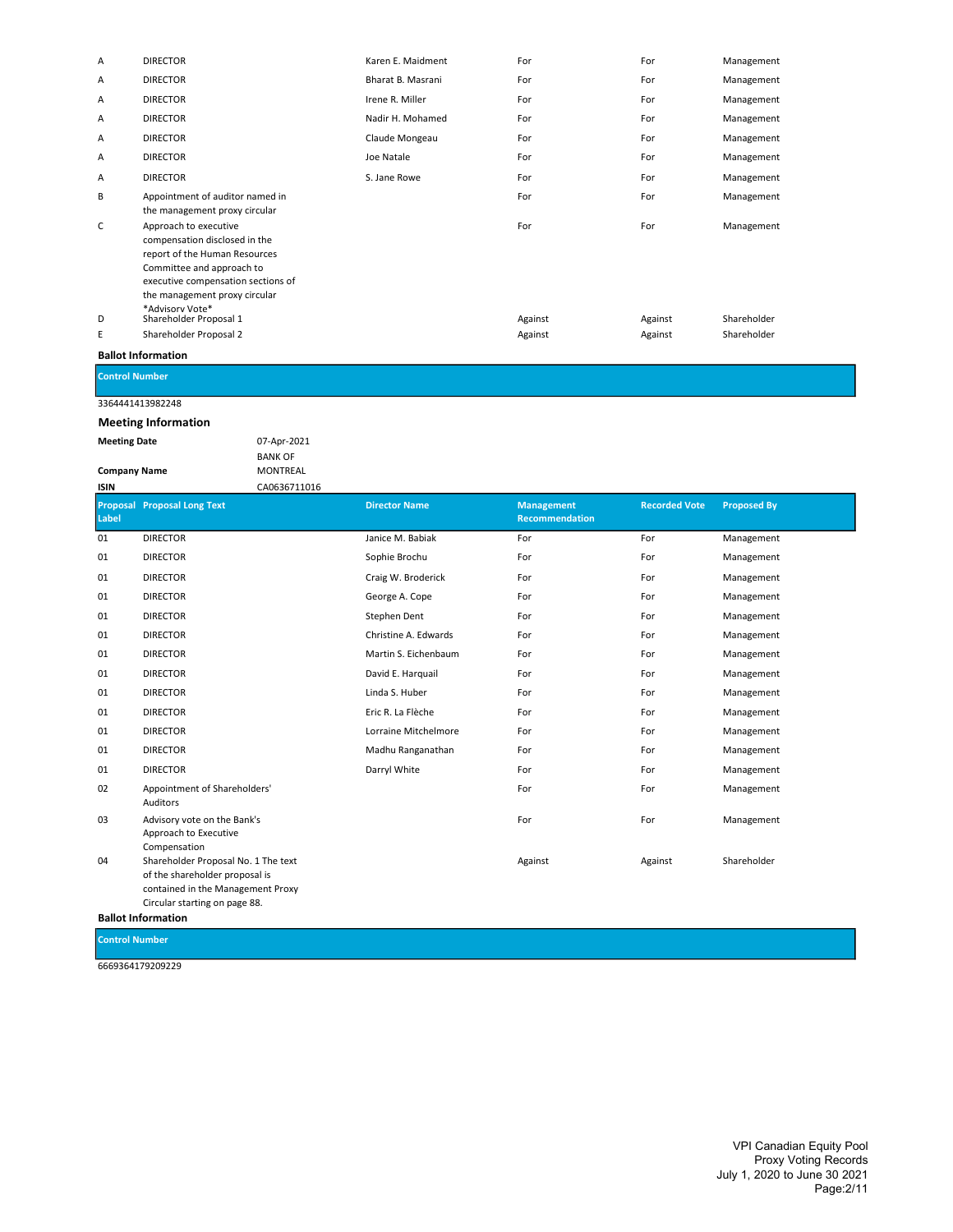| Α            | <b>DIRECTOR</b>                                                                                                                                                                                                | Karen E. Maidment | For     | For     | Management  |
|--------------|----------------------------------------------------------------------------------------------------------------------------------------------------------------------------------------------------------------|-------------------|---------|---------|-------------|
| Α            | <b>DIRECTOR</b>                                                                                                                                                                                                | Bharat B. Masrani | For     | For     | Management  |
| $\mathsf{A}$ | <b>DIRECTOR</b>                                                                                                                                                                                                | Irene R. Miller   | For     | For     | Management  |
| A            | <b>DIRECTOR</b>                                                                                                                                                                                                | Nadir H. Mohamed  | For     | For     | Management  |
| $\mathsf{A}$ | <b>DIRECTOR</b>                                                                                                                                                                                                | Claude Mongeau    | For     | For     | Management  |
| A            | <b>DIRECTOR</b>                                                                                                                                                                                                | Joe Natale        | For     | For     | Management  |
| Α            | <b>DIRECTOR</b>                                                                                                                                                                                                | S. Jane Rowe      | For     | For     | Management  |
| В            | Appointment of auditor named in<br>the management proxy circular                                                                                                                                               |                   | For     | For     | Management  |
| C            | Approach to executive<br>compensation disclosed in the<br>report of the Human Resources<br>Committee and approach to<br>executive compensation sections of<br>the management proxy circular<br>*Advisory Vote* |                   | For     | For     | Management  |
| D            | Shareholder Proposal 1                                                                                                                                                                                         |                   | Against | Against | Shareholder |
| Ε            | Shareholder Proposal 2                                                                                                                                                                                         |                   | Against | Against | Shareholder |
|              |                                                                                                                                                                                                                |                   |         |         |             |

Control Number

## 3364441413982248 Meeting Information

Meeting Date 07-Apr-2021

Company Name

BANK OF MONTREAL CA0636711016

| Label | <b>Proposal Proposal Long Text</b>                                                                         | <b>Director Name</b> | <b>Management</b><br>Recommendation | <b>Recorded Vote</b> | <b>Proposed By</b> |
|-------|------------------------------------------------------------------------------------------------------------|----------------------|-------------------------------------|----------------------|--------------------|
| 01    | <b>DIRECTOR</b>                                                                                            | Janice M. Babiak     | For                                 | For                  | Management         |
| 01    | <b>DIRECTOR</b>                                                                                            | Sophie Brochu        | For                                 | For                  | Management         |
| 01    | <b>DIRECTOR</b>                                                                                            | Craig W. Broderick   | For                                 | For                  | Management         |
| 01    | <b>DIRECTOR</b>                                                                                            | George A. Cope       | For                                 | For                  | Management         |
| 01    | <b>DIRECTOR</b>                                                                                            | Stephen Dent         | For                                 | For                  | Management         |
| 01    | <b>DIRECTOR</b>                                                                                            | Christine A. Edwards | For                                 | For                  | Management         |
| 01    | <b>DIRECTOR</b>                                                                                            | Martin S. Eichenbaum | For                                 | For                  | Management         |
| 01    | <b>DIRECTOR</b>                                                                                            | David E. Harquail    | For                                 | For                  | Management         |
| 01    | <b>DIRECTOR</b>                                                                                            | Linda S. Huber       | For                                 | For                  | Management         |
| 01    | <b>DIRECTOR</b>                                                                                            | Eric R. La Flèche    | For                                 | For                  | Management         |
| 01    | <b>DIRECTOR</b>                                                                                            | Lorraine Mitchelmore | For                                 | For                  | Management         |
| 01    | <b>DIRECTOR</b>                                                                                            | Madhu Ranganathan    | For                                 | For                  | Management         |
| 01    | <b>DIRECTOR</b>                                                                                            | Darryl White         | For                                 | For                  | Management         |
| 02    | Appointment of Shareholders'<br>Auditors                                                                   |                      | For                                 | For                  | Management         |
| 03    | Advisory vote on the Bank's<br>Approach to Executive<br>Compensation                                       |                      | For                                 | For                  | Management         |
| 04    | Shareholder Proposal No. 1 The text<br>of the shareholder proposal is<br>contained in the Management Proxy |                      | Against                             | Against              | Shareholder        |

Circular starting on page 88.

Ballot Information

Control Number

6669364179209229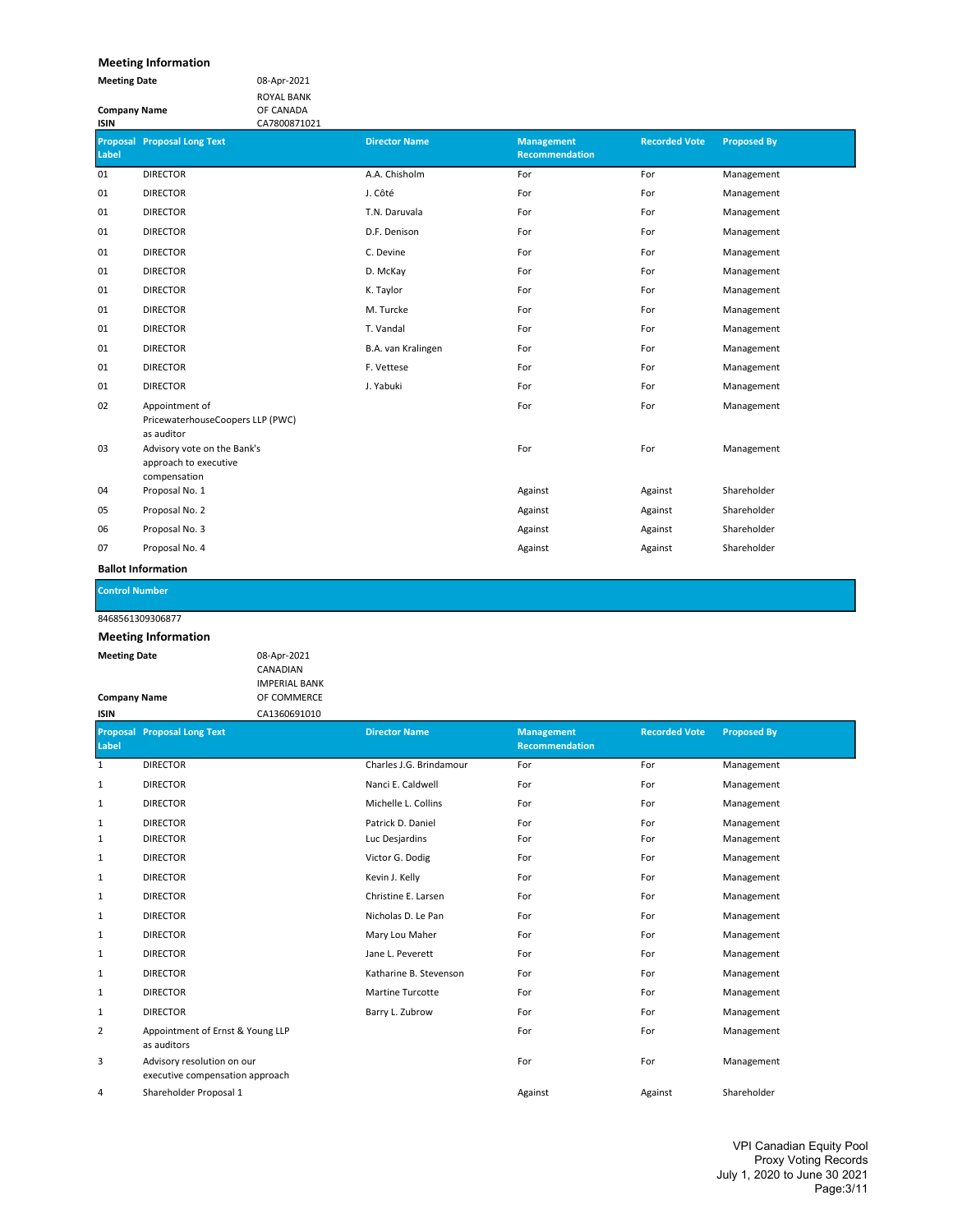## Meeting Information

| <b>Meeting Date</b> | 08-Apr-2021       |
|---------------------|-------------------|
|                     | <b>ROYAL BANK</b> |
| <b>Company Name</b> | OF CANADA         |
| <b>ICINI</b>        | $C_A 7000071021$  |

| <b>Proposal Proposal Long Text</b> | <b>Director Name</b>                                                      | <b>Management</b><br>Recommendation | <b>Recorded Vote</b> | <b>Proposed By</b> |
|------------------------------------|---------------------------------------------------------------------------|-------------------------------------|----------------------|--------------------|
| <b>DIRECTOR</b>                    | A.A. Chisholm                                                             | For                                 | For                  | Management         |
| <b>DIRECTOR</b>                    | J. Côté                                                                   | For                                 | For                  | Management         |
| <b>DIRECTOR</b>                    | T.N. Daruvala                                                             | For                                 | For                  | Management         |
| <b>DIRECTOR</b>                    | D.F. Denison                                                              | For                                 | For                  | Management         |
| <b>DIRECTOR</b>                    | C. Devine                                                                 | For                                 | For                  | Management         |
| <b>DIRECTOR</b>                    | D. McKay                                                                  | For                                 | For                  | Management         |
| <b>DIRECTOR</b>                    | K. Taylor                                                                 | For                                 | For                  | Management         |
| <b>DIRECTOR</b>                    | M. Turcke                                                                 | For                                 | For                  | Management         |
| <b>DIRECTOR</b>                    | T. Vandal                                                                 | For                                 | For                  | Management         |
| <b>DIRECTOR</b>                    | B.A. van Kralingen                                                        | For                                 | For                  | Management         |
| <b>DIRECTOR</b>                    | F. Vettese                                                                | For                                 | For                  | Management         |
| <b>DIRECTOR</b>                    | J. Yabuki                                                                 | For                                 | For                  | Management         |
| Appointment of                     |                                                                           | For                                 | For                  | Management         |
| as auditor                         |                                                                           |                                     |                      |                    |
| Advisory vote on the Bank's        |                                                                           | For                                 | For                  | Management         |
|                                    |                                                                           |                                     |                      |                    |
| Proposal No. 1                     |                                                                           | Against                             | Against              | Shareholder        |
| Proposal No. 2                     |                                                                           | Against                             | Against              | Shareholder        |
| Proposal No. 3                     |                                                                           | Against                             | Against              | Shareholder        |
| Proposal No. 4                     |                                                                           | Against                             | Against              | Shareholder        |
|                                    | PricewaterhouseCoopers LLP (PWC)<br>approach to executive<br>compensation |                                     |                      |                    |

Ballot Information

Control Number

## 8468561309306877

| <b>Meeting Date</b> | 08-Apr-2021          |
|---------------------|----------------------|
|                     | <b>CANADIAN</b>      |
|                     | <b>IMPERIAL BANK</b> |
| <b>Company Name</b> | OF COMMERCE          |
| ISIN                | CA1360691010         |

| <b>Proposal</b><br>Label | <b>Proposal Long Text</b>                                     | <b>Director Name</b>    | <b>Management</b><br>Recommendation | <b>Recorded Vote</b> | <b>Proposed By</b> |
|--------------------------|---------------------------------------------------------------|-------------------------|-------------------------------------|----------------------|--------------------|
| 1                        | <b>DIRECTOR</b>                                               | Charles J.G. Brindamour | For                                 | For                  | Management         |
| 1                        | <b>DIRECTOR</b>                                               | Nanci E. Caldwell       | For                                 | For                  | Management         |
| 1                        | <b>DIRECTOR</b>                                               | Michelle L. Collins     | For                                 | For                  | Management         |
| 1                        | <b>DIRECTOR</b>                                               | Patrick D. Daniel       | For                                 | For                  | Management         |
| 1                        | <b>DIRECTOR</b>                                               | Luc Desjardins          | For                                 | For                  | Management         |
| 1                        | <b>DIRECTOR</b>                                               | Victor G. Dodig         | For                                 | For                  | Management         |
| 1                        | <b>DIRECTOR</b>                                               | Kevin J. Kelly          | For                                 | For                  | Management         |
| 1                        | <b>DIRECTOR</b>                                               | Christine E. Larsen     | For                                 | For                  | Management         |
| 1                        | <b>DIRECTOR</b>                                               | Nicholas D. Le Pan      | For                                 | For                  | Management         |
| 1                        | <b>DIRECTOR</b>                                               | Mary Lou Maher          | For                                 | For                  | Management         |
| 1                        | <b>DIRECTOR</b>                                               | Jane L. Peverett        | For                                 | For                  | Management         |
| 1                        | <b>DIRECTOR</b>                                               | Katharine B. Stevenson  | For                                 | For                  | Management         |
| 1                        | <b>DIRECTOR</b>                                               | Martine Turcotte        | For                                 | For                  | Management         |
| 1                        | <b>DIRECTOR</b>                                               | Barry L. Zubrow         | For                                 | For                  | Management         |
| 2                        | Appointment of Ernst & Young LLP<br>as auditors               |                         | For                                 | For                  | Management         |
| 3                        | Advisory resolution on our<br>executive compensation approach |                         | For                                 | For                  | Management         |
| 4                        | Shareholder Proposal 1                                        |                         | Against                             | Against              | Shareholder        |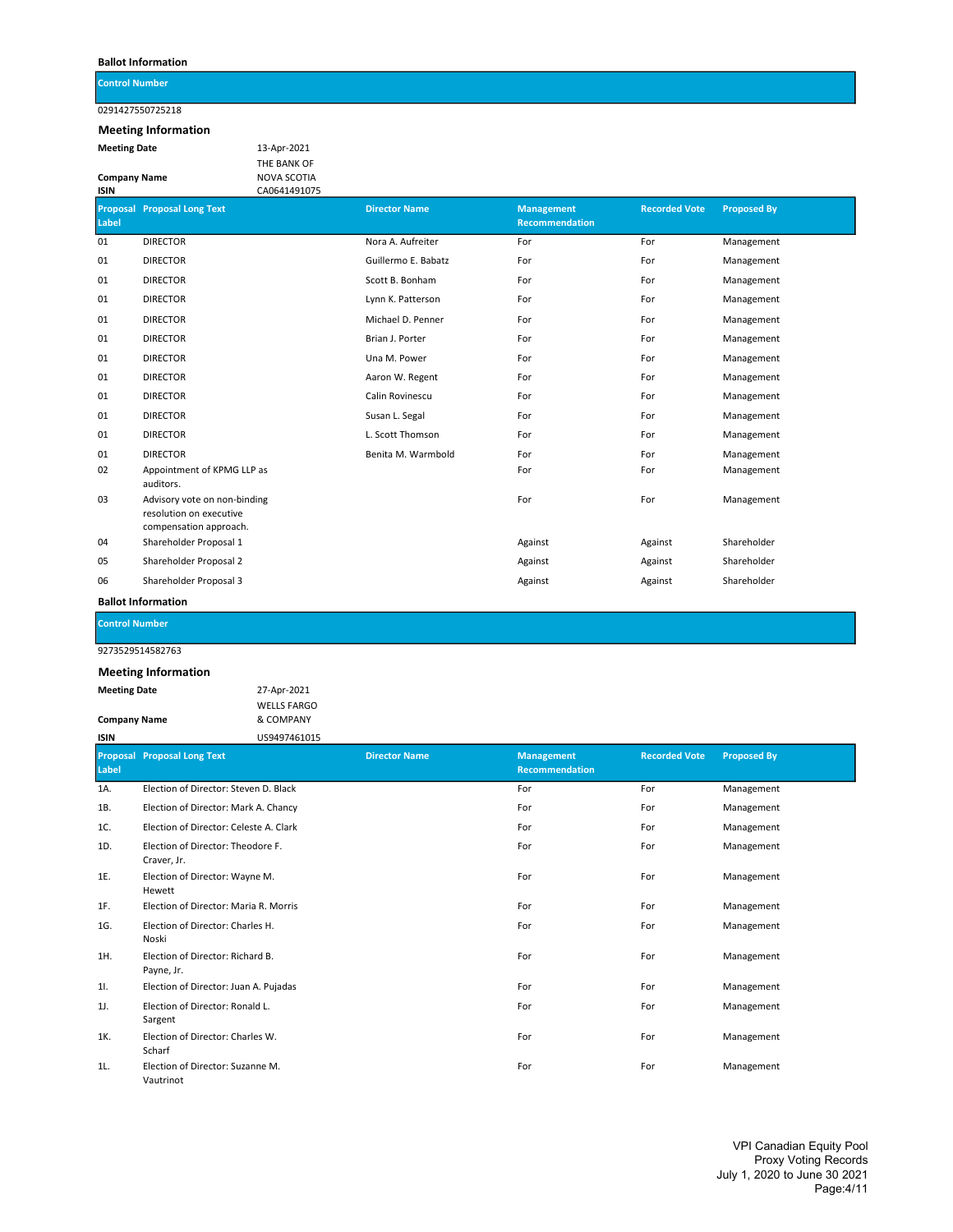Control Number

0291427550725218

## Meeting Information

Meeting Date 13-Apr-2021 Company Name

THE BANK OF NOVA SCOTIA CA0641491075

| Label | <b>Proposal Proposal Long Text</b>                                                | <b>Director Name</b> | <b>Management</b><br><b>Recommendation</b> | <b>Recorded Vote</b> | <b>Proposed By</b> |
|-------|-----------------------------------------------------------------------------------|----------------------|--------------------------------------------|----------------------|--------------------|
| 01    | <b>DIRECTOR</b>                                                                   | Nora A. Aufreiter    | For                                        | For                  | Management         |
| 01    | <b>DIRECTOR</b>                                                                   | Guillermo E. Babatz  | For                                        | For                  | Management         |
| 01    | <b>DIRECTOR</b>                                                                   | Scott B. Bonham      | For                                        | For                  | Management         |
| 01    | <b>DIRECTOR</b>                                                                   | Lynn K. Patterson    | For                                        | For                  | Management         |
| 01    | <b>DIRECTOR</b>                                                                   | Michael D. Penner    | For                                        | For                  | Management         |
| 01    | <b>DIRECTOR</b>                                                                   | Brian J. Porter      | For                                        | For                  | Management         |
| 01    | <b>DIRECTOR</b>                                                                   | Una M. Power         | For                                        | For                  | Management         |
| 01    | <b>DIRECTOR</b>                                                                   | Aaron W. Regent      | For                                        | For                  | Management         |
| 01    | <b>DIRECTOR</b>                                                                   | Calin Rovinescu      | For                                        | For                  | Management         |
| 01    | <b>DIRECTOR</b>                                                                   | Susan L. Segal       | For                                        | For                  | Management         |
| 01    | <b>DIRECTOR</b>                                                                   | L. Scott Thomson     | For                                        | For                  | Management         |
| 01    | <b>DIRECTOR</b>                                                                   | Benita M. Warmbold   | For                                        | For                  | Management         |
| 02    | Appointment of KPMG LLP as<br>auditors.                                           |                      | For                                        | For                  | Management         |
| 03    | Advisory vote on non-binding<br>resolution on executive<br>compensation approach. |                      | For                                        | For                  | Management         |
| 04    | Shareholder Proposal 1                                                            |                      | Against                                    | Against              | Shareholder        |
| 05    | Shareholder Proposal 2                                                            |                      | Against                                    | Against              | Shareholder        |
| 06    | Shareholder Proposal 3                                                            |                      | Against                                    | Against              | Shareholder        |

Ballot Information

Control Number

9273529514582763

| <b>Meeting Date</b> | 27-Apr-2021        |
|---------------------|--------------------|
|                     | <b>WELLS FARGO</b> |
| <b>Company Name</b> | & COMPANY          |
| ISIN                | US9497461015       |

| Label | <b>Proposal Proposal Long Text</b>               | <b>Director Name</b> | <b>Management</b><br>Recommendation | <b>Recorded Vote</b> | Proposed By |
|-------|--------------------------------------------------|----------------------|-------------------------------------|----------------------|-------------|
| 1A.   | Election of Director: Steven D. Black            |                      | For                                 | For                  | Management  |
| 1B.   | Election of Director: Mark A. Chancy             |                      | For                                 | For                  | Management  |
| 1C.   | Election of Director: Celeste A. Clark           |                      | For                                 | For                  | Management  |
| 1D.   | Election of Director: Theodore F.<br>Craver, Jr. |                      | For                                 | For                  | Management  |
| 1E.   | Election of Director: Wayne M.<br>Hewett         |                      | For                                 | For                  | Management  |
| 1F.   | Election of Director: Maria R. Morris            |                      | For                                 | For                  | Management  |
| 1G.   | Election of Director: Charles H.<br>Noski        |                      | For                                 | For                  | Management  |
| 1H.   | Election of Director: Richard B.<br>Payne, Jr.   |                      | For                                 | For                  | Management  |
| 11.   | Election of Director: Juan A. Pujadas            |                      | For                                 | For                  | Management  |
| 1J.   | Election of Director: Ronald L.<br>Sargent       |                      | For                                 | For                  | Management  |
| 1K.   | Election of Director: Charles W.<br>Scharf       |                      | For                                 | For                  | Management  |
| 1L.   | Election of Director: Suzanne M.<br>Vautrinot    |                      | For                                 | For                  | Management  |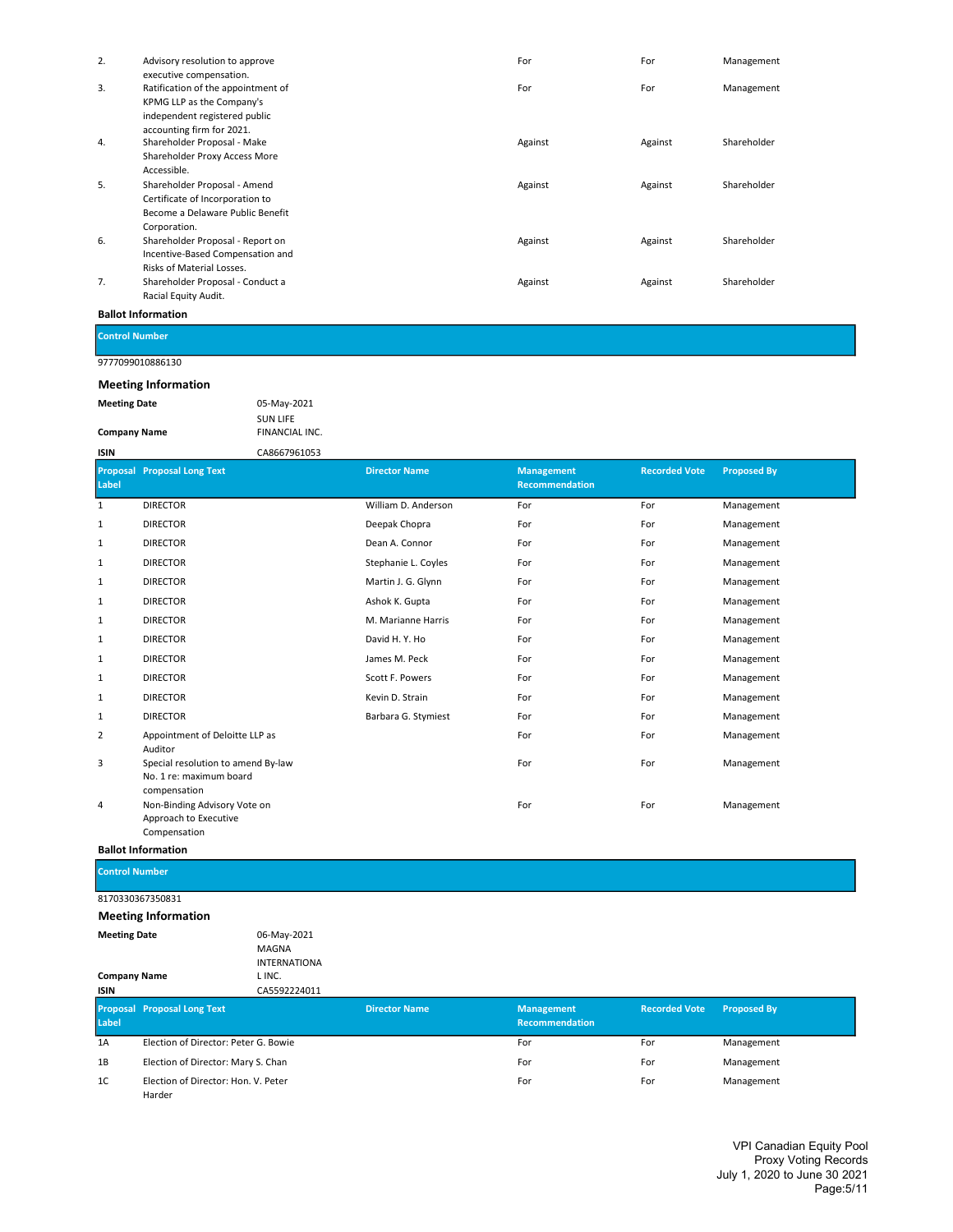| 2. | Advisory resolution to approve     | For     | For     | Management  |
|----|------------------------------------|---------|---------|-------------|
|    | executive compensation.            |         |         |             |
| 3. | Ratification of the appointment of | For     | For     | Management  |
|    | KPMG LLP as the Company's          |         |         |             |
|    | independent registered public      |         |         |             |
|    | accounting firm for 2021.          |         |         |             |
| 4. | Shareholder Proposal - Make        | Against | Against | Shareholder |
|    | Shareholder Proxy Access More      |         |         |             |
|    | Accessible.                        |         |         |             |
| 5. | Shareholder Proposal - Amend       | Against | Against | Shareholder |
|    | Certificate of Incorporation to    |         |         |             |
|    | Become a Delaware Public Benefit   |         |         |             |
|    | Corporation.                       |         |         |             |
| 6. | Shareholder Proposal - Report on   | Against | Against | Shareholder |
|    | Incentive-Based Compensation and   |         |         |             |
|    | Risks of Material Losses.          |         |         |             |
| 7. | Shareholder Proposal - Conduct a   | Against | Against | Shareholder |
|    | Racial Equity Audit.               |         |         |             |
|    |                                    |         |         |             |

Control Number

## 9777099010886130

## Meeting Information

| <b>Meeting Date</b> | 05-May-2021         |  |  |
|---------------------|---------------------|--|--|
|                     | <b>SUN LIFE</b>     |  |  |
| <b>Company Name</b> | <b>FINANCIAL IN</b> |  |  |

## FINANCIAL INC. ISIN CA8667961053

| Label        | <b>Proposal Proposal Long Text</b>                                            | <b>Director Name</b> | <b>Management</b><br>Recommendation | <b>Recorded Vote</b> | <b>Proposed By</b> |
|--------------|-------------------------------------------------------------------------------|----------------------|-------------------------------------|----------------------|--------------------|
| 1            | <b>DIRECTOR</b>                                                               | William D. Anderson  | For                                 | For                  | Management         |
| 1            | <b>DIRECTOR</b>                                                               | Deepak Chopra        | For                                 | For                  | Management         |
| 1            | <b>DIRECTOR</b>                                                               | Dean A. Connor       | For                                 | For                  | Management         |
| 1            | <b>DIRECTOR</b>                                                               | Stephanie L. Coyles  | For                                 | For                  | Management         |
| 1            | <b>DIRECTOR</b>                                                               | Martin J. G. Glynn   | For                                 | For                  | Management         |
| $\mathbf{1}$ | <b>DIRECTOR</b>                                                               | Ashok K. Gupta       | For                                 | For                  | Management         |
| 1            | <b>DIRECTOR</b>                                                               | M. Marianne Harris   | For                                 | For                  | Management         |
| 1            | <b>DIRECTOR</b>                                                               | David H.Y. Ho        | For                                 | For                  | Management         |
| 1            | <b>DIRECTOR</b>                                                               | James M. Peck        | For                                 | For                  | Management         |
| 1            | <b>DIRECTOR</b>                                                               | Scott F. Powers      | For                                 | For                  | Management         |
| 1            | <b>DIRECTOR</b>                                                               | Kevin D. Strain      | For                                 | For                  | Management         |
| 1            | <b>DIRECTOR</b>                                                               | Barbara G. Stymiest  | For                                 | For                  | Management         |
| 2            | Appointment of Deloitte LLP as<br>Auditor                                     |                      | For                                 | For                  | Management         |
| 3            | Special resolution to amend By-law<br>No. 1 re: maximum board<br>compensation |                      | For                                 | For                  | Management         |
| 4            | Non-Binding Advisory Vote on<br>Approach to Executive<br>Compensation         |                      | For                                 | For                  | Management         |

## Ballot Information

Control Number

8170330367350831

| <b>Meeting Date</b> | 06-May-2021         |
|---------------------|---------------------|
|                     | MAGNA               |
|                     | <b>INTERNATIONA</b> |
| <b>Company Name</b> | L INC.              |
| <b>ISIN</b>         | CA5592224011        |
|                     |                     |

| Label          | <b>Proposal Proposal Long Text</b>            | <b>Director Name</b> | <b>Management</b><br><b>Recommendation</b> | <b>Recorded Vote</b> | <b>Proposed By</b> |
|----------------|-----------------------------------------------|----------------------|--------------------------------------------|----------------------|--------------------|
| 1A             | Election of Director: Peter G. Bowie          |                      | For                                        | For                  | Management         |
| 1B             | Election of Director: Mary S. Chan            |                      | For                                        | For                  | Management         |
| 1 <sup>C</sup> | Election of Director: Hon. V. Peter<br>Harder |                      | For                                        | For                  | Management         |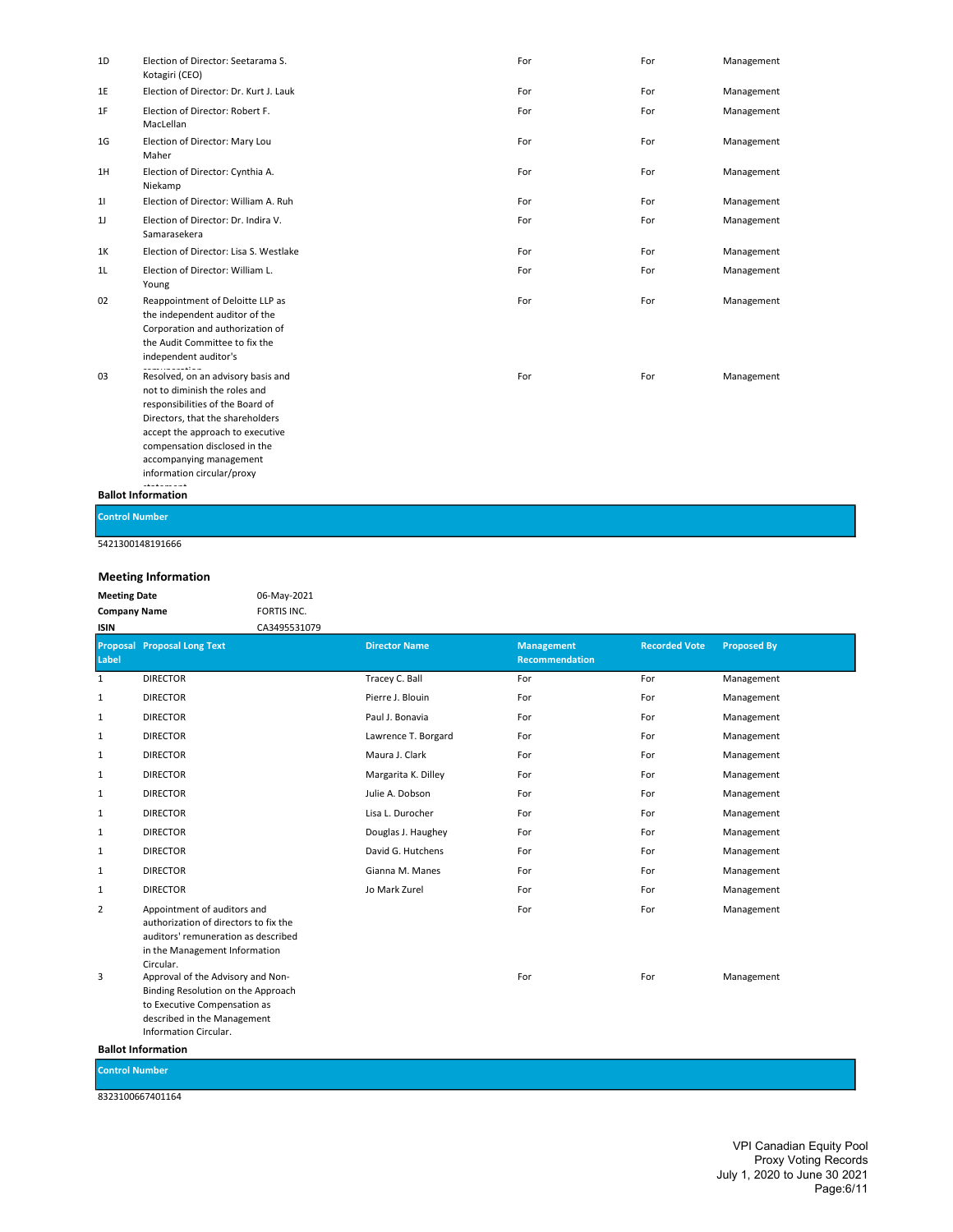| 1D             | Election of Director: Seetarama S.<br>Kotagiri (CEO)                                                                                                                                                                                                                                              | For | For | Management |
|----------------|---------------------------------------------------------------------------------------------------------------------------------------------------------------------------------------------------------------------------------------------------------------------------------------------------|-----|-----|------------|
| 1E             | Election of Director: Dr. Kurt J. Lauk                                                                                                                                                                                                                                                            | For | For | Management |
| 1F             | Election of Director: Robert F.<br>MacLellan                                                                                                                                                                                                                                                      | For | For | Management |
| 1G             | Election of Director: Mary Lou<br>Maher                                                                                                                                                                                                                                                           | For | For | Management |
| 1H             | Election of Director: Cynthia A.<br>Niekamp                                                                                                                                                                                                                                                       | For | For | Management |
| 11             | Election of Director: William A. Ruh                                                                                                                                                                                                                                                              | For | For | Management |
| 1 <sub>J</sub> | Election of Director: Dr. Indira V.<br>Samarasekera                                                                                                                                                                                                                                               | For | For | Management |
| 1K             | Election of Director: Lisa S. Westlake                                                                                                                                                                                                                                                            | For | For | Management |
| 1L             | Election of Director: William L.<br>Young                                                                                                                                                                                                                                                         | For | For | Management |
| 02             | Reappointment of Deloitte LLP as<br>the independent auditor of the<br>Corporation and authorization of<br>the Audit Committee to fix the<br>independent auditor's                                                                                                                                 | For | For | Management |
| 03             | awaki da wasan ta sa<br>Resolved, on an advisory basis and<br>not to diminish the roles and<br>responsibilities of the Board of<br>Directors, that the shareholders<br>accept the approach to executive<br>compensation disclosed in the<br>accompanying management<br>information circular/proxy | For | For | Management |

## statement. Ballot Information

Control Number

5421300148191666

## Meeting Information

| <b>IVICCOTILE INTO THE GEORG</b> |             |
|----------------------------------|-------------|
| <b>Meeting Date</b>              | 06-May-2021 |
| <b>Company Name</b>              | FORTIS INC. |

| <b>ISIN</b>  | CA3495531079                                                                                                                                                    |                      |                                     |                      |                    |
|--------------|-----------------------------------------------------------------------------------------------------------------------------------------------------------------|----------------------|-------------------------------------|----------------------|--------------------|
| Label        | <b>Proposal Proposal Long Text</b>                                                                                                                              | <b>Director Name</b> | <b>Management</b><br>Recommendation | <b>Recorded Vote</b> | <b>Proposed By</b> |
| $\mathbf{1}$ | <b>DIRECTOR</b>                                                                                                                                                 | Tracey C. Ball       | For                                 | For                  | Management         |
| 1            | <b>DIRECTOR</b>                                                                                                                                                 | Pierre J. Blouin     | For                                 | For                  | Management         |
| $\mathbf{1}$ | <b>DIRECTOR</b>                                                                                                                                                 | Paul J. Bonavia      | For                                 | For                  | Management         |
| $\mathbf{1}$ | <b>DIRECTOR</b>                                                                                                                                                 | Lawrence T. Borgard  | For                                 | For                  | Management         |
| 1            | <b>DIRECTOR</b>                                                                                                                                                 | Maura J. Clark       | For                                 | For                  | Management         |
| $\mathbf{1}$ | <b>DIRECTOR</b>                                                                                                                                                 | Margarita K. Dilley  | For                                 | For                  | Management         |
| 1            | <b>DIRECTOR</b>                                                                                                                                                 | Julie A. Dobson      | For                                 | For                  | Management         |
| $\mathbf{1}$ | <b>DIRECTOR</b>                                                                                                                                                 | Lisa L. Durocher     | For                                 | For                  | Management         |
| $\mathbf{1}$ | <b>DIRECTOR</b>                                                                                                                                                 | Douglas J. Haughey   | For                                 | For                  | Management         |
| 1            | <b>DIRECTOR</b>                                                                                                                                                 | David G. Hutchens    | For                                 | For                  | Management         |
| 1            | <b>DIRECTOR</b>                                                                                                                                                 | Gianna M. Manes      | For                                 | For                  | Management         |
| 1            | <b>DIRECTOR</b>                                                                                                                                                 | Jo Mark Zurel        | For                                 | For                  | Management         |
| 2            | Appointment of auditors and<br>authorization of directors to fix the<br>auditors' remuneration as described<br>in the Management Information<br>Circular.       |                      | For                                 | For                  | Management         |
| 3            | Approval of the Advisory and Non-<br>Binding Resolution on the Approach<br>to Executive Compensation as<br>described in the Management<br>Information Circular. |                      | For                                 | For                  | Management         |

Ballot Information

Control Number

8323100667401164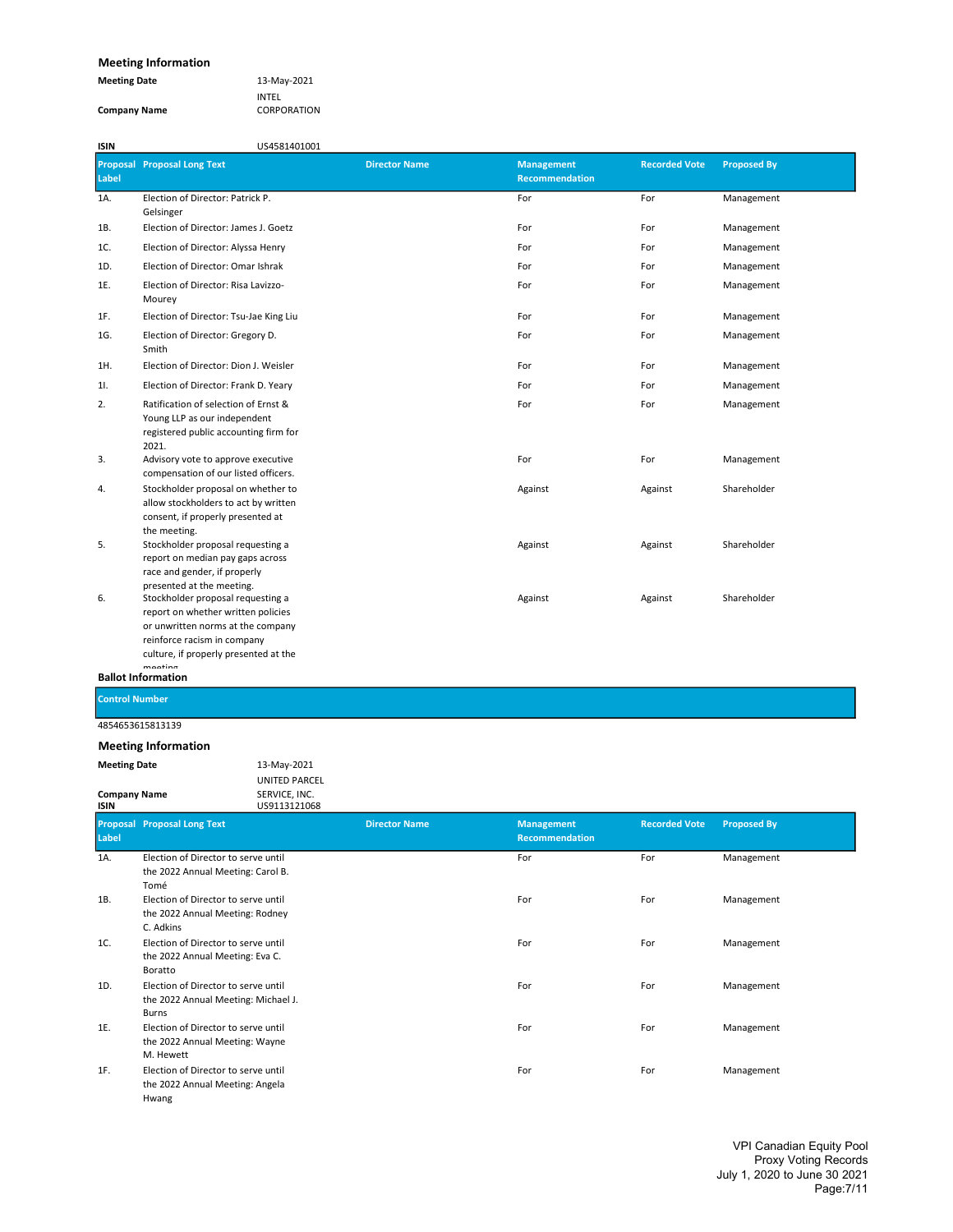## Meeting Information

| <b>Meeting Date</b> | 13-May-2021 |
|---------------------|-------------|
|                     | INTEL       |
| <b>Company Name</b> | CORPORATION |

| <b>ISIN</b> | US4581401001                                                                                                                                                                         |                      |                                     |                      |                    |
|-------------|--------------------------------------------------------------------------------------------------------------------------------------------------------------------------------------|----------------------|-------------------------------------|----------------------|--------------------|
| Label       | <b>Proposal Proposal Long Text</b>                                                                                                                                                   | <b>Director Name</b> | <b>Management</b><br>Recommendation | <b>Recorded Vote</b> | <b>Proposed By</b> |
| 1A.         | Election of Director: Patrick P.<br>Gelsinger                                                                                                                                        |                      | For                                 | For                  | Management         |
| 1B.         | Election of Director: James J. Goetz                                                                                                                                                 |                      | For                                 | For                  | Management         |
| 1C.         | Election of Director: Alyssa Henry                                                                                                                                                   |                      | For                                 | For                  | Management         |
| 1D.         | Election of Director: Omar Ishrak                                                                                                                                                    |                      | For                                 | For                  | Management         |
| 1E.         | Election of Director: Risa Lavizzo-<br>Mourey                                                                                                                                        |                      | For                                 | For                  | Management         |
| 1F.         | Election of Director: Tsu-Jae King Liu                                                                                                                                               |                      | For                                 | For                  | Management         |
| 1G.         | Election of Director: Gregory D.<br>Smith                                                                                                                                            |                      | For                                 | For                  | Management         |
| 1H.         | Election of Director: Dion J. Weisler                                                                                                                                                |                      | For                                 | For                  | Management         |
| 11.         | Election of Director: Frank D. Yeary                                                                                                                                                 |                      | For                                 | For                  | Management         |
| 2.          | Ratification of selection of Ernst &<br>Young LLP as our independent<br>registered public accounting firm for<br>2021.                                                               |                      | For                                 | For                  | Management         |
| 3.          | Advisory vote to approve executive<br>compensation of our listed officers.                                                                                                           |                      | For                                 | For                  | Management         |
| 4.          | Stockholder proposal on whether to<br>allow stockholders to act by written<br>consent, if properly presented at<br>the meeting.                                                      |                      | Against                             | Against              | Shareholder        |
| 5.          | Stockholder proposal requesting a<br>report on median pay gaps across<br>race and gender, if properly<br>presented at the meeting.                                                   |                      | Against                             | Against              | Shareholder        |
| 6.          | Stockholder proposal requesting a<br>report on whether written policies<br>or unwritten norms at the company<br>reinforce racism in company<br>culture, if properly presented at the |                      | Against                             | Against              | Shareholder        |

## meeting<br>Ballot Information

Control Number

4854653615813139

| <b>Meeting Date</b> | 13-May-2021          |
|---------------------|----------------------|
|                     | <b>UNITED PARCEL</b> |
| <b>Company Name</b> | SERVICE, INC.        |
| ISIN                | US9113121068         |

| Label | <b>Proposal Proposal Long Text</b>                                                  | <b>Director Name</b> | <b>Management</b><br><b>Recommendation</b> | <b>Recorded Vote</b> | <b>Proposed By</b> |
|-------|-------------------------------------------------------------------------------------|----------------------|--------------------------------------------|----------------------|--------------------|
| 1A.   | Election of Director to serve until<br>the 2022 Annual Meeting: Carol B.<br>Tomé    |                      | For                                        | For                  | Management         |
| 1B.   | Election of Director to serve until<br>the 2022 Annual Meeting: Rodney<br>C. Adkins |                      | For                                        | For                  | Management         |
| 1C.   | Election of Director to serve until<br>the 2022 Annual Meeting: Eva C.<br>Boratto   |                      | For                                        | For                  | Management         |
| 1D.   | Election of Director to serve until<br>the 2022 Annual Meeting: Michael J.<br>Burns |                      | For                                        | For                  | Management         |
| 1E.   | Election of Director to serve until<br>the 2022 Annual Meeting: Wayne<br>M. Hewett  |                      | For                                        | For                  | Management         |
| 1F.   | Election of Director to serve until<br>the 2022 Annual Meeting: Angela<br>Hwang     |                      | For                                        | For                  | Management         |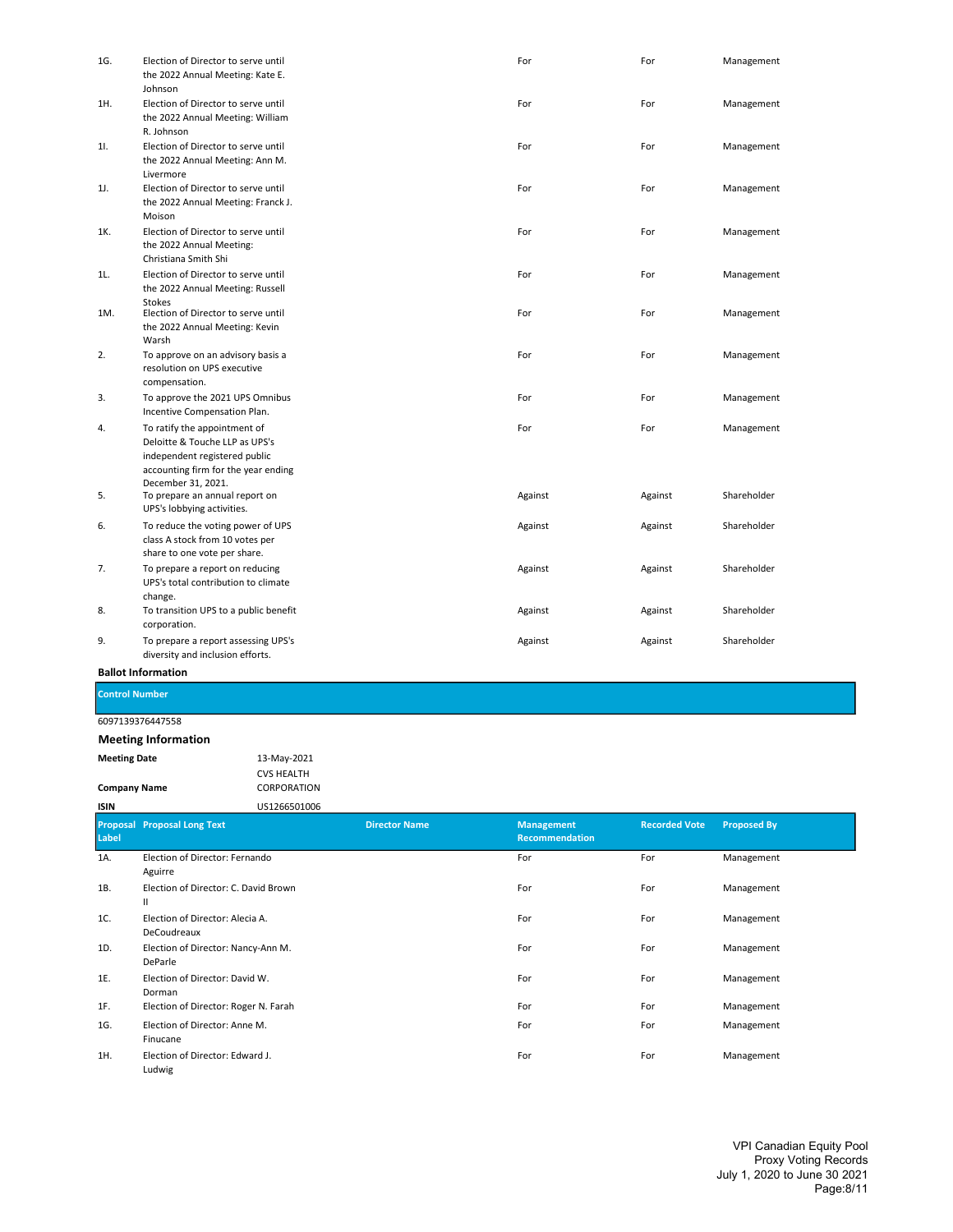| 1G. | Election of Director to serve until<br>the 2022 Annual Meeting: Kate E.<br>Johnson                                                                           | For     | For     | Management  |
|-----|--------------------------------------------------------------------------------------------------------------------------------------------------------------|---------|---------|-------------|
| 1H. | Election of Director to serve until<br>the 2022 Annual Meeting: William<br>R. Johnson                                                                        | For     | For     | Management  |
| 11. | Election of Director to serve until<br>the 2022 Annual Meeting: Ann M.<br>Livermore                                                                          | For     | For     | Management  |
| 1J. | Election of Director to serve until<br>the 2022 Annual Meeting: Franck J.<br>Moison                                                                          | For     | For     | Management  |
| 1K. | Election of Director to serve until<br>the 2022 Annual Meeting:<br>Christiana Smith Shi                                                                      | For     | For     | Management  |
| 1L. | Election of Director to serve until<br>the 2022 Annual Meeting: Russell<br>Stokes                                                                            | For     | For     | Management  |
| 1M. | Election of Director to serve until<br>the 2022 Annual Meeting: Kevin<br>Warsh                                                                               | For     | For     | Management  |
| 2.  | To approve on an advisory basis a<br>resolution on UPS executive<br>compensation.                                                                            | For     | For     | Management  |
| 3.  | To approve the 2021 UPS Omnibus<br>Incentive Compensation Plan.                                                                                              | For     | For     | Management  |
| 4.  | To ratify the appointment of<br>Deloitte & Touche LLP as UPS's<br>independent registered public<br>accounting firm for the year ending<br>December 31, 2021. | For     | For     | Management  |
| 5.  | To prepare an annual report on<br>UPS's lobbying activities.                                                                                                 | Against | Against | Shareholder |
| 6.  | To reduce the voting power of UPS<br>class A stock from 10 votes per<br>share to one vote per share.                                                         | Against | Against | Shareholder |
| 7.  | To prepare a report on reducing<br>UPS's total contribution to climate<br>change.                                                                            | Against | Against | Shareholder |
| 8.  | To transition UPS to a public benefit<br>corporation.                                                                                                        | Against | Against | Shareholder |
| 9.  | To prepare a report assessing UPS's<br>diversity and inclusion efforts.                                                                                      | Against | Against | Shareholder |

## Control Number

## 6097139376447558

## Meeting Information

Meeting Date 13-May-2021 CVS HEALTH

#### Company Name CORPORATION ISIN US1266501006

| Label | <b>Proposal Proposal Long Text</b>             | <b>Director Name</b> | <b>Management</b><br>Recommendation | <b>Recorded Vote</b> | <b>Proposed By</b> |
|-------|------------------------------------------------|----------------------|-------------------------------------|----------------------|--------------------|
| 1A.   | Election of Director: Fernando<br>Aguirre      |                      | For                                 | For                  | Management         |
| 1B.   | Election of Director: C. David Brown<br>Ш      |                      | For                                 | For                  | Management         |
| 1C.   | Election of Director: Alecia A.<br>DeCoudreaux |                      | For                                 | For                  | Management         |
| 1D.   | Election of Director: Nancy-Ann M.<br>DeParle  |                      | For                                 | For                  | Management         |
| 1E.   | Election of Director: David W.<br>Dorman       |                      | For                                 | For                  | Management         |
| 1F.   | Election of Director: Roger N. Farah           |                      | For                                 | For                  | Management         |
| 1G.   | Election of Director: Anne M.<br>Finucane      |                      | For                                 | For                  | Management         |
| 1H.   | Election of Director: Edward J.<br>Ludwig      |                      | For                                 | For                  | Management         |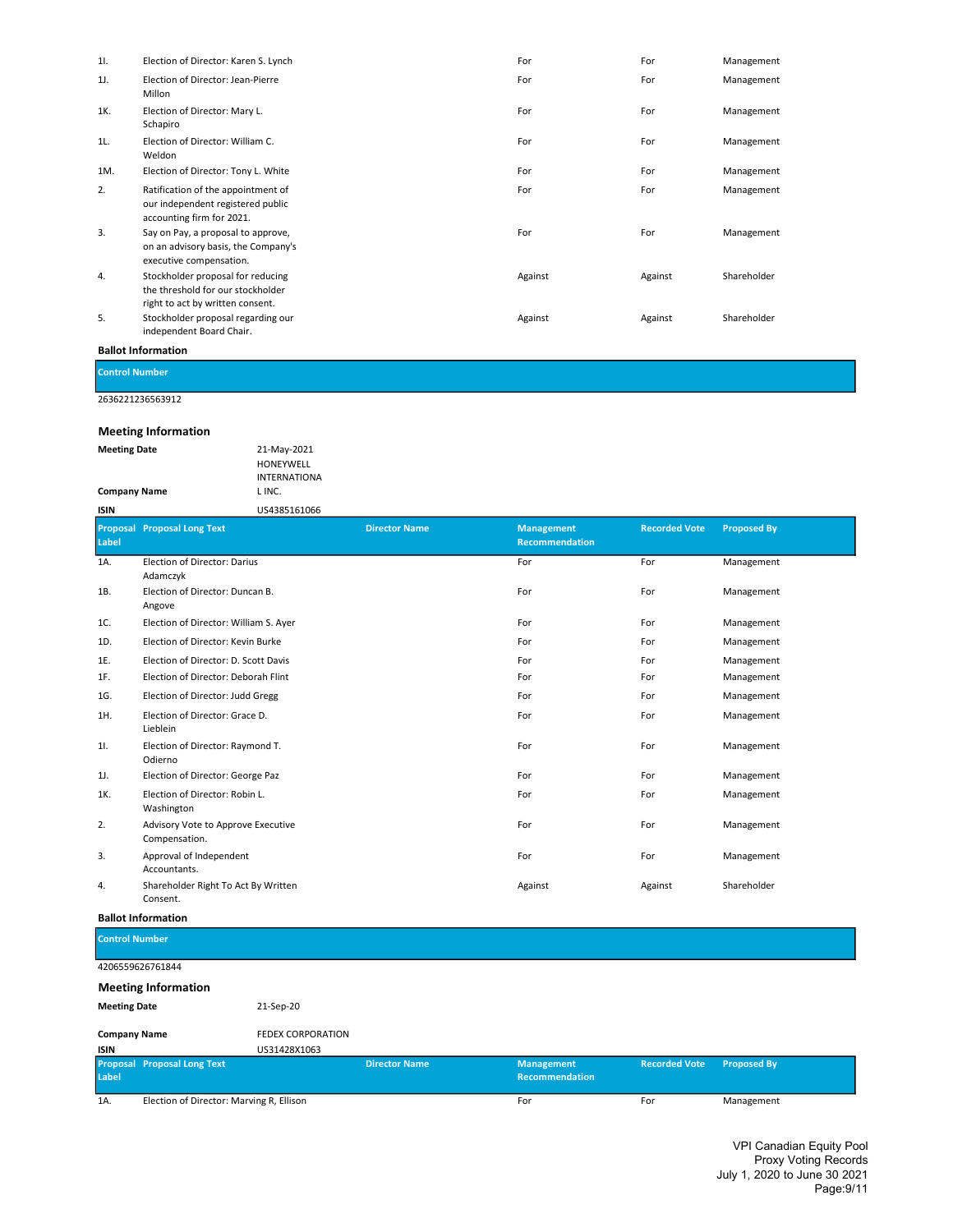| 11. | Election of Director: Karen S. Lynch                                                                       | For     | For     | Management  |
|-----|------------------------------------------------------------------------------------------------------------|---------|---------|-------------|
| 1J. | Election of Director: Jean-Pierre<br>Millon                                                                | For     | For     | Management  |
| 1K. | Election of Director: Mary L.<br>Schapiro                                                                  | For     | For     | Management  |
| 1L. | Election of Director: William C.<br>Weldon                                                                 | For     | For     | Management  |
| 1M. | Election of Director: Tony L. White                                                                        | For     | For     | Management  |
| 2.  | Ratification of the appointment of<br>our independent registered public<br>accounting firm for 2021.       | For     | For     | Management  |
| 3.  | Say on Pay, a proposal to approve,<br>on an advisory basis, the Company's<br>executive compensation.       | For     | For     | Management  |
| 4.  | Stockholder proposal for reducing<br>the threshold for our stockholder<br>right to act by written consent. | Against | Against | Shareholder |
| 5.  | Stockholder proposal regarding our<br>independent Board Chair.                                             | Against | Against | Shareholder |

Control Number

2636221236563912

## Meeting Information

| <b>Meeting Date</b> | 21-May-2021         |
|---------------------|---------------------|
|                     | <b>HONEYWELL</b>    |
|                     | <b>INTERNATIONA</b> |
| <b>Company Name</b> | L INC.              |
| ISIN                | US4385161066        |

| Label | <b>Proposal Proposal Long Text</b>                  | <b>Director Name</b> | <b>Management</b><br><b>Recommendation</b> | <b>Recorded Vote</b> | <b>Proposed By</b> |
|-------|-----------------------------------------------------|----------------------|--------------------------------------------|----------------------|--------------------|
| 1A.   | Election of Director: Darius<br>Adamczyk            |                      | For                                        | For                  | Management         |
| 1B.   | Election of Director: Duncan B.<br>Angove           |                      | For                                        | For                  | Management         |
| 1C.   | Election of Director: William S. Ayer               |                      | For                                        | For                  | Management         |
| 1D.   | Election of Director: Kevin Burke                   |                      | For                                        | For                  | Management         |
| 1E.   | Election of Director: D. Scott Davis                |                      | For                                        | For                  | Management         |
| 1F.   | Election of Director: Deborah Flint                 |                      | For                                        | For                  | Management         |
| 1G.   | Election of Director: Judd Gregg                    |                      | For                                        | For                  | Management         |
| 1H.   | Election of Director: Grace D.<br>Lieblein          |                      | For                                        | For                  | Management         |
| 11.   | Election of Director: Raymond T.<br>Odierno         |                      | For                                        | For                  | Management         |
| 1J.   | Election of Director: George Paz                    |                      | For                                        | For                  | Management         |
| 1K.   | Election of Director: Robin L.<br>Washington        |                      | For                                        | For                  | Management         |
| 2.    | Advisory Vote to Approve Executive<br>Compensation. |                      | For                                        | For                  | Management         |
| 3.    | Approval of Independent<br>Accountants.             |                      | For                                        | For                  | Management         |
| 4.    | Shareholder Right To Act By Written<br>Consent.     |                      | Against                                    | Against              | Shareholder        |

## Ballot Information

| <b>Control Number</b>      |           |  |  |
|----------------------------|-----------|--|--|
| 4206559626761844           |           |  |  |
| <b>Meeting Information</b> |           |  |  |
| <b>Meeting Date</b>        | 21-Sep-20 |  |  |

| <b>Company Name</b> | <b>FEDEX CORPORATION</b> |
|---------------------|--------------------------|
| ISIN                | US31428X1063             |

| <b>ISIN</b> |                                          | U3314Z8A1U03         |                                     |                           |            |
|-------------|------------------------------------------|----------------------|-------------------------------------|---------------------------|------------|
| Label       | <b>Proposal Proposal Long Text</b>       | <b>Director Name</b> | <b>Management</b><br>Recommendation | Recorded Vote Proposed By |            |
| 1A.         | Election of Director: Marving R, Ellison |                      | For                                 | For                       | Management |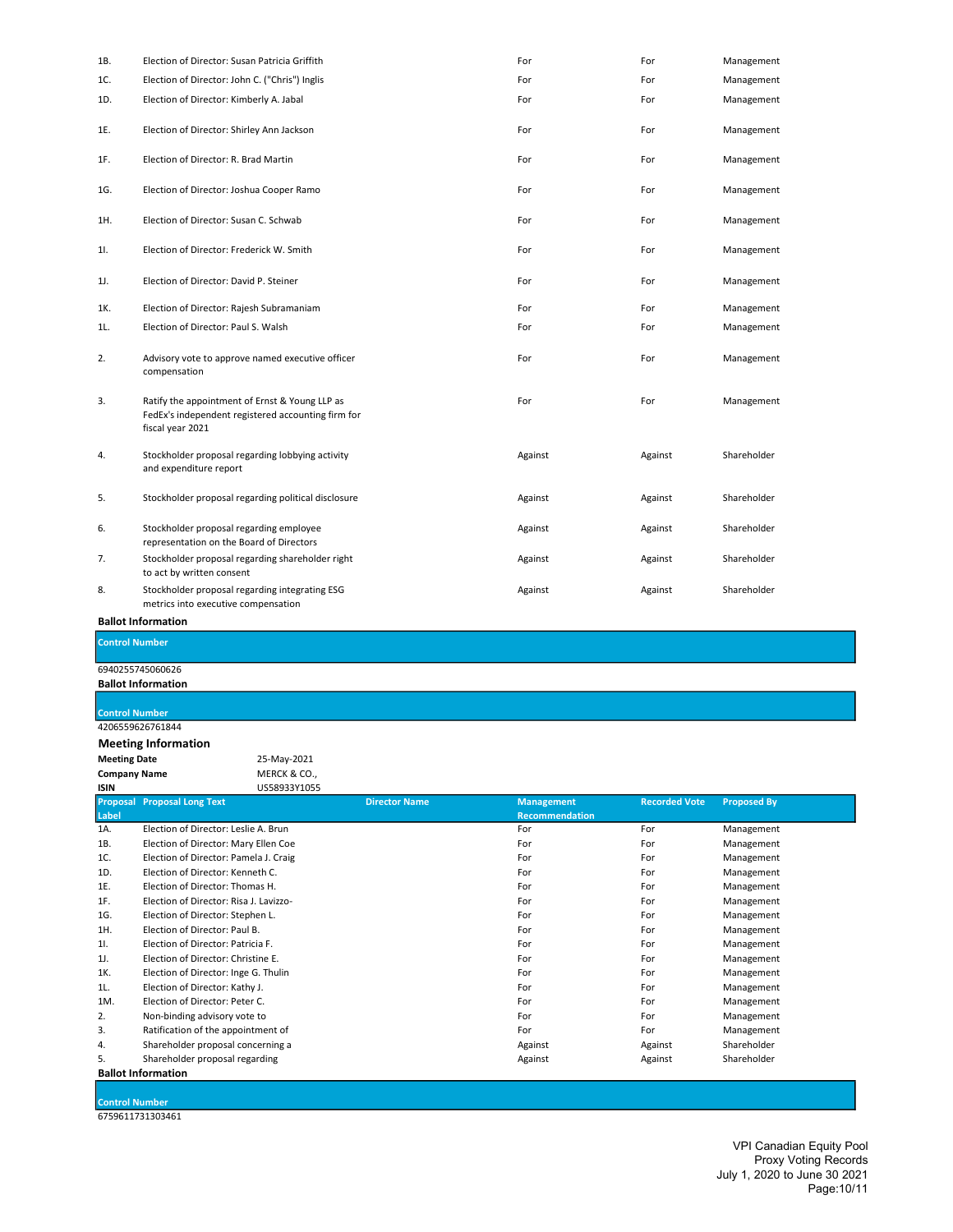| 1B. | Election of Director: Susan Patricia Griffith                                                                            | For     | For     | Management  |
|-----|--------------------------------------------------------------------------------------------------------------------------|---------|---------|-------------|
| 1C. | Election of Director: John C. ("Chris") Inglis                                                                           | For     | For     | Management  |
| 1D. | Election of Director: Kimberly A. Jabal                                                                                  | For     | For     | Management  |
| 1E. | Election of Director: Shirley Ann Jackson                                                                                | For     | For     | Management  |
| 1F. | Election of Director: R. Brad Martin                                                                                     | For     | For     | Management  |
| 1G. | Election of Director: Joshua Cooper Ramo                                                                                 | For     | For     | Management  |
| 1H. | Election of Director: Susan C. Schwab                                                                                    | For     | For     | Management  |
| 11. | Election of Director: Frederick W. Smith                                                                                 | For     | For     | Management  |
| 1J. | Election of Director: David P. Steiner                                                                                   | For     | For     | Management  |
| 1K. | Election of Director: Rajesh Subramaniam                                                                                 | For     | For     | Management  |
| 1L. | Election of Director: Paul S. Walsh                                                                                      | For     | For     | Management  |
| 2.  | Advisory vote to approve named executive officer<br>compensation                                                         | For     | For     | Management  |
| 3.  | Ratify the appointment of Ernst & Young LLP as<br>FedEx's independent registered accounting firm for<br>fiscal year 2021 | For     | For     | Management  |
| 4.  | Stockholder proposal regarding lobbying activity<br>and expenditure report                                               | Against | Against | Shareholder |
| 5.  | Stockholder proposal regarding political disclosure                                                                      | Against | Against | Shareholder |
| 6.  | Stockholder proposal regarding employee<br>representation on the Board of Directors                                      | Against | Against | Shareholder |
| 7.  | Stockholder proposal regarding shareholder right<br>to act by written consent                                            | Against | Against | Shareholder |
| 8.  | Stockholder proposal regarding integrating ESG<br>metrics into executive compensation                                    | Against | Against | Shareholder |
|     | <b>Ballot Information</b>                                                                                                |         |         |             |

Control Number

6940255745060626

Ballot Information

## Control Number

4206559626761844

Meeting Information

Meeting Date 25-May-2021<br>
Company Name MERCK & CO.,

Company Name<br>ISIN US58933Y1055

|       | <b>Proposal Proposal Long Text</b>     | <b>Director Name</b> | <b>Management</b>     | <b>Recorded Vote</b> | <b>Proposed By</b> |
|-------|----------------------------------------|----------------------|-----------------------|----------------------|--------------------|
| Label |                                        |                      | <b>Recommendation</b> |                      |                    |
| 1A.   | Election of Director: Leslie A. Brun   |                      | For                   | For                  | Management         |
| 1B.   | Election of Director: Mary Ellen Coe   |                      | For                   | For                  | Management         |
| 1C.   | Election of Director: Pamela J. Craig  |                      | For                   | For                  | Management         |
| 1D.   | Election of Director: Kenneth C.       |                      | For                   | For                  | Management         |
| 1E.   | Election of Director: Thomas H.        |                      | For                   | For                  | Management         |
| 1F.   | Election of Director: Risa J. Lavizzo- |                      | For                   | For                  | Management         |
| 1G.   | Election of Director: Stephen L.       |                      | For                   | For                  | Management         |
| 1H.   | Election of Director: Paul B.          |                      | For                   | For                  | Management         |
| 11.   | Election of Director: Patricia F.      |                      | For                   | For                  | Management         |
| 1J.   | Election of Director: Christine E.     |                      | For                   | For                  | Management         |
| 1K.   | Election of Director: Inge G. Thulin   |                      | For                   | For                  | Management         |
| 1L.   | Election of Director: Kathy J.         |                      | For                   | For                  | Management         |
| 1M.   | Election of Director: Peter C.         |                      | For                   | For                  | Management         |
| 2.    | Non-binding advisory vote to           |                      | For                   | For                  | Management         |
| 3.    | Ratification of the appointment of     |                      | For                   | For                  | Management         |
| 4.    | Shareholder proposal concerning a      |                      | Against               | Against              | Shareholder        |
| 5.    | Shareholder proposal regarding         |                      | Against               | Against              | Shareholder        |
|       | <b>Ballot Information</b>              |                      |                       |                      |                    |

Control Number

6759611731303461

VPI Canadian Equity Pool Proxy Voting Records July 1, 2020 to June 30 2021 Page:10/11